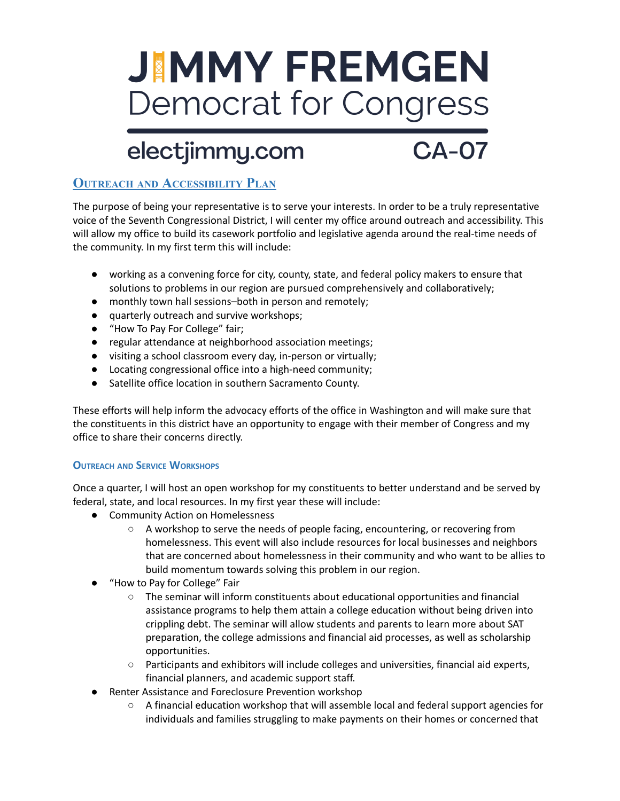# **JIMMY FREMGEN Democrat for Congress**

## electjimmy.com

 $CA-07$ 

### **OUTREACH AND ACCESSIBILITY PLAN**

The purpose of being your representative is to serve your interests. In order to be a truly representative voice of the Seventh Congressional District, I will center my office around outreach and accessibility. This will allow my office to build its casework portfolio and legislative agenda around the real-time needs of the community. In my first term this will include:

- working as a convening force for city, county, state, and federal policy makers to ensure that solutions to problems in our region are pursued comprehensively and collaboratively;
- monthly town hall sessions–both in person and remotely;
- quarterly outreach and survive workshops;
- "How To Pay For College" fair;
- regular attendance at neighborhood association meetings;
- visiting a school classroom every day, in-person or virtually;
- Locating congressional office into a high-need community;
- Satellite office location in southern Sacramento County.

These efforts will help inform the advocacy efforts of the office in Washington and will make sure that the constituents in this district have an opportunity to engage with their member of Congress and my office to share their concerns directly.

#### **OUTREACH AND SERVICE WORKSHOPS**

Once a quarter, I will host an open workshop for my constituents to better understand and be served by federal, state, and local resources. In my first year these will include:

- Community Action on Homelessness
	- A workshop to serve the needs of people facing, encountering, or recovering from homelessness. This event will also include resources for local businesses and neighbors that are concerned about homelessness in their community and who want to be allies to build momentum towards solving this problem in our region.
- "How to Pay for College" Fair
	- The seminar will inform constituents about educational opportunities and financial assistance programs to help them attain a college education without being driven into crippling debt. The seminar will allow students and parents to learn more about SAT preparation, the college admissions and financial aid processes, as well as scholarship opportunities.
	- Participants and exhibitors will include colleges and universities, financial aid experts, financial planners, and academic support staff.
- Renter Assistance and Foreclosure Prevention workshop
	- A financial education workshop that will assemble local and federal support agencies for individuals and families struggling to make payments on their homes or concerned that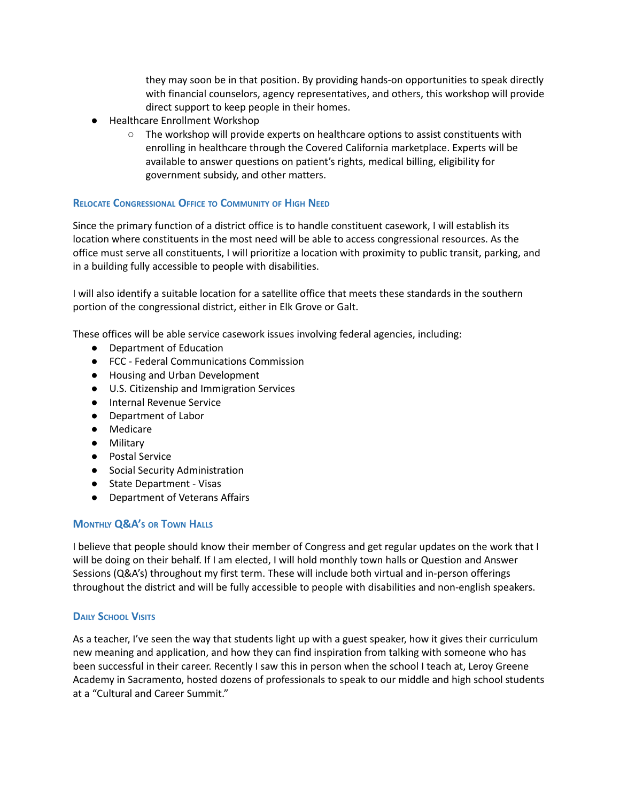they may soon be in that position. By providing hands-on opportunities to speak directly with financial counselors, agency representatives, and others, this workshop will provide direct support to keep people in their homes.

- Healthcare Enrollment Workshop
	- $\circ$  The workshop will provide experts on healthcare options to assist constituents with enrolling in healthcare through the Covered California marketplace. Experts will be available to answer questions on patient's rights, medical billing, eligibility for government subsidy, and other matters.

#### **RELOCATE CONGRESSIONAL OFFICE TO COMMUNITY OF HIGH NEED**

Since the primary function of a district office is to handle constituent casework, I will establish its location where constituents in the most need will be able to access congressional resources. As the office must serve all constituents, I will prioritize a location with proximity to public transit, parking, and in a building fully accessible to people with disabilities.

I will also identify a suitable location for a satellite office that meets these standards in the southern portion of the congressional district, either in Elk Grove or Galt.

These offices will be able service casework issues involving federal agencies, including:

- Department of Education
- FCC Federal Communications Commission
- Housing and Urban Development
- U.S. Citizenship and Immigration Services
- Internal Revenue Service
- Department of Labor
- Medicare
- Military
- Postal Service
- Social Security Administration
- State Department Visas
- Department of Veterans Affairs

#### **MONTHLY Q&A'<sup>S</sup> OR TOWN HALLS**

I believe that people should know their member of Congress and get regular updates on the work that I will be doing on their behalf. If I am elected, I will hold monthly town halls or Question and Answer Sessions (Q&A's) throughout my first term. These will include both virtual and in-person offerings throughout the district and will be fully accessible to people with disabilities and non-english speakers.

#### **DAILY SCHOOL VISITS**

As a teacher, I've seen the way that students light up with a guest speaker, how it gives their curriculum new meaning and application, and how they can find inspiration from talking with someone who has been successful in their career. Recently I saw this in person when the school I teach at, Leroy Greene Academy in Sacramento, hosted dozens of professionals to speak to our middle and high school students at a "Cultural and Career Summit."